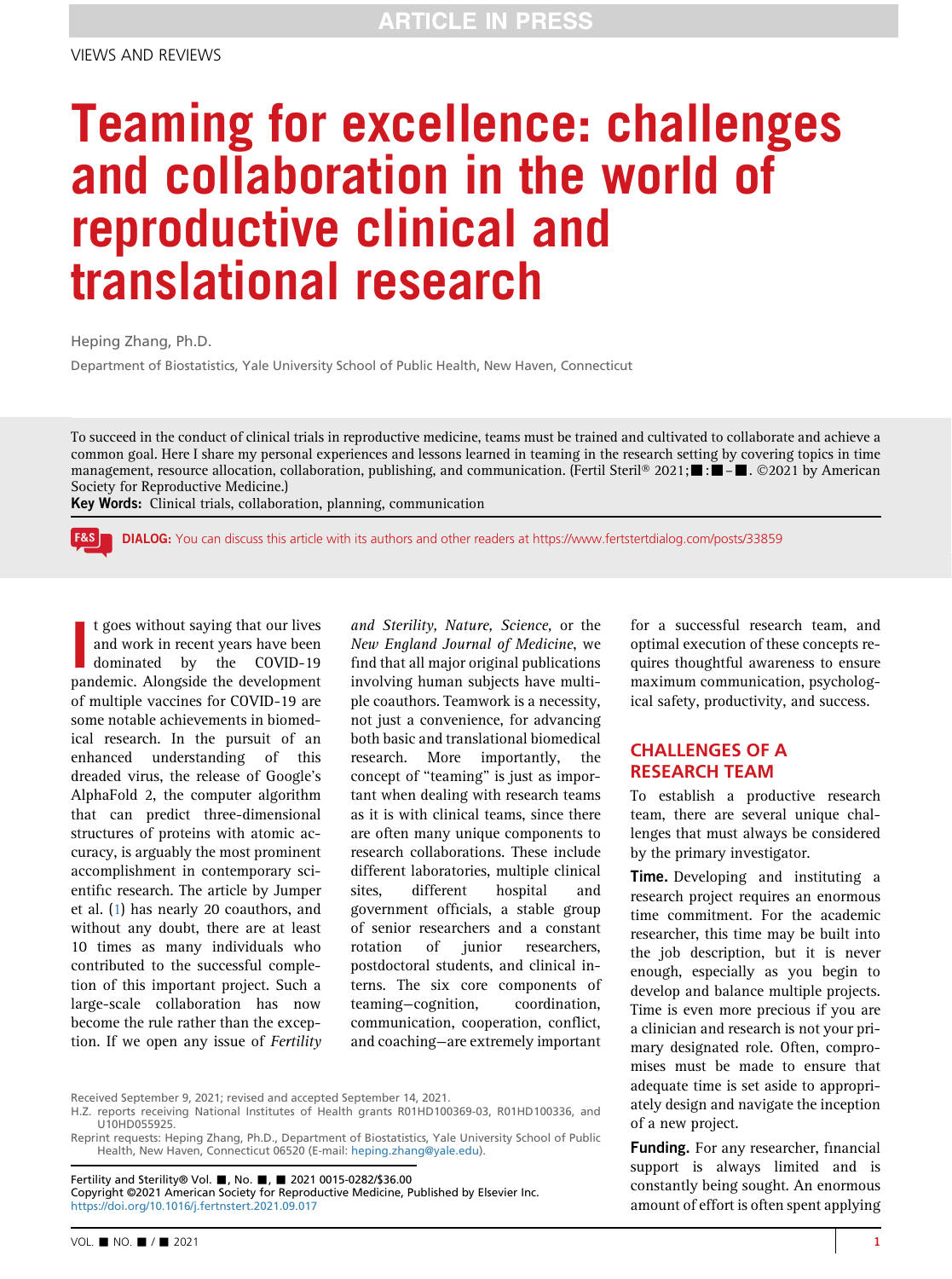# Teaming for excellence: challenges and collaboration in the world of reproductive clinical and translational research

Heping Zhang, Ph.D.

Department of Biostatistics, Yale University School of Public Health, New Haven, Connecticut

To succeed in the conduct of clinical trials in reproductive medicine, teams must be trained and cultivated to collaborate and achieve a common goal. Here I share my personal experiences and lessons learned in teaming in the research setting by covering topics in time management, resource allocation, collaboration, publishing, and communication. (Fertil Steril® 2021; $\blacksquare$ :  $\blacksquare$ . ©2021 by American Society for Reproductive Medicine.)

Key Words: Clinical trials, collaboration, planning, communication

| F&S | DIALOG: You can discuss this article with its authors and other readers at<https://www.fertstertdialog.com/posts/33859>

I t goes without saying that our lives<br>and work in recent years have been<br>dominated by the COVID-19<br>pandemic. Alongside the development t goes without saying that our lives and work in recent years have been dominated by the COVID-19 of multiple vaccines for COVID-19 are some notable achievements in biomedical research. In the pursuit of an enhanced understanding of this dreaded virus, the release of Google's AlphaFold 2, the computer algorithm that can predict three-dimensional structures of proteins with atomic accuracy, is arguably the most prominent accomplishment in contemporary scientific research. The article by Jumper et al. [\(1](#page-4-0)) has nearly 20 coauthors, and without any doubt, there are at least 10 times as many individuals who contributed to the successful completion of this important project. Such a large-scale collaboration has now become the rule rather than the exception. If we open any issue of Fertility

and Sterility, Nature, Science, or the New England Journal of Medicine, we find that all major original publications involving human subjects have multiple coauthors. Teamwork is a necessity, not just a convenience, for advancing both basic and translational biomedical research. More importantly, the concept of ''teaming'' is just as important when dealing with research teams as it is with clinical teams, since there are often many unique components to research collaborations. These include different laboratories, multiple clinical sites, different hospital and government officials, a stable group of senior researchers and a constant rotation of junior researchers, postdoctoral students, and clinical interns. The six core components of teaming—cognition, coordination, communication, cooperation, conflict, and coaching—are extremely important

for a successful research team, and optimal execution of these concepts requires thoughtful awareness to ensure maximum communication, psychological safety, productivity, and success.

#### CHALLENGES OF A RESEARCH TEAM

To establish a productive research team, there are several unique challenges that must always be considered by the primary investigator.

**Time.** Developing and instituting a research project requires an enormous time commitment. For the academic researcher, this time may be built into the job description, but it is never enough, especially as you begin to develop and balance multiple projects. Time is even more precious if you are a clinician and research is not your primary designated role. Often, compromises must be made to ensure that adequate time is set aside to appropriately design and navigate the inception of a new project.

Funding. For any researcher, financial support is always limited and is constantly being sought. An enormous amount of effort is often spent applying

#### Received September 9, 2021; revised and accepted September 14, 2021.

H.Z. reports receiving National Institutes of Health grants R01HD100369-03, R01HD100336, and U10HD055925.

Reprint requests: Heping Zhang, Ph.D., Department of Biostatistics, Yale University School of Public Health, New Haven, Connecticut 06520 (E-mail: [heping.zhang@yale.edu\)](mailto:heping.zhang@yale.edu).

Fertility and Sterility® Vol. ■, No. ■, ■ 2021 0015-0282/\$36.00 Copyright ©2021 American Society for Reproductive Medicine, Published by Elsevier Inc. <https://doi.org/10.1016/j.fertnstert.2021.09.017>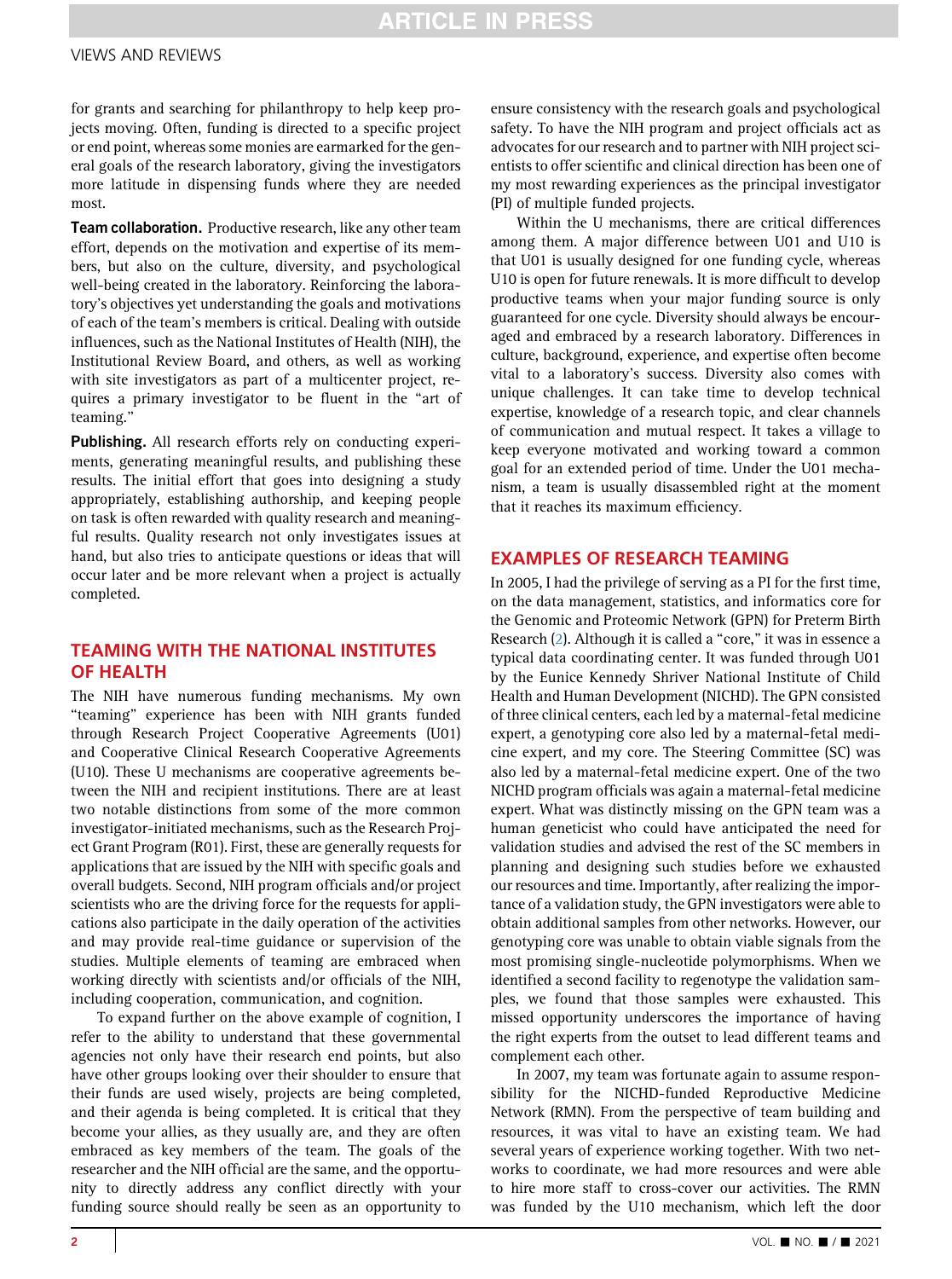## **ARTICLE IN PRESS**

#### VIEWS AND REVIEWS

for grants and searching for philanthropy to help keep projects moving. Often, funding is directed to a specific project or end point, whereas some monies are earmarked for the general goals of the research laboratory, giving the investigators more latitude in dispensing funds where they are needed most.

Team collaboration. Productive research, like any other team effort, depends on the motivation and expertise of its members, but also on the culture, diversity, and psychological well-being created in the laboratory. Reinforcing the laboratory's objectives yet understanding the goals and motivations of each of the team's members is critical. Dealing with outside influences, such as the National Institutes of Health (NIH), the Institutional Review Board, and others, as well as working with site investigators as part of a multicenter project, requires a primary investigator to be fluent in the "art of teaming.''

Publishing. All research efforts rely on conducting experiments, generating meaningful results, and publishing these results. The initial effort that goes into designing a study appropriately, establishing authorship, and keeping people on task is often rewarded with quality research and meaningful results. Quality research not only investigates issues at hand, but also tries to anticipate questions or ideas that will occur later and be more relevant when a project is actually completed.

#### TEAMING WITH THE NATIONAL INSTITUTES OF HEALTH

The NIH have numerous funding mechanisms. My own ''teaming'' experience has been with NIH grants funded through Research Project Cooperative Agreements (U01) and Cooperative Clinical Research Cooperative Agreements (U10). These U mechanisms are cooperative agreements between the NIH and recipient institutions. There are at least two notable distinctions from some of the more common investigator-initiated mechanisms, such as the Research Project Grant Program (R01). First, these are generally requests for applications that are issued by the NIH with specific goals and overall budgets. Second, NIH program officials and/or project scientists who are the driving force for the requests for applications also participate in the daily operation of the activities and may provide real-time guidance or supervision of the studies. Multiple elements of teaming are embraced when working directly with scientists and/or officials of the NIH, including cooperation, communication, and cognition.

To expand further on the above example of cognition, I refer to the ability to understand that these governmental agencies not only have their research end points, but also have other groups looking over their shoulder to ensure that their funds are used wisely, projects are being completed, and their agenda is being completed. It is critical that they become your allies, as they usually are, and they are often embraced as key members of the team. The goals of the researcher and the NIH official are the same, and the opportunity to directly address any conflict directly with your funding source should really be seen as an opportunity to

ensure consistency with the research goals and psychological safety. To have the NIH program and project officials act as advocates for our research and to partner with NIH project scientists to offer scientific and clinical direction has been one of my most rewarding experiences as the principal investigator (PI) of multiple funded projects.

Within the U mechanisms, there are critical differences among them. A major difference between U01 and U10 is that U01 is usually designed for one funding cycle, whereas U10 is open for future renewals. It is more difficult to develop productive teams when your major funding source is only guaranteed for one cycle. Diversity should always be encouraged and embraced by a research laboratory. Differences in culture, background, experience, and expertise often become vital to a laboratory's success. Diversity also comes with unique challenges. It can take time to develop technical expertise, knowledge of a research topic, and clear channels of communication and mutual respect. It takes a village to keep everyone motivated and working toward a common goal for an extended period of time. Under the U01 mechanism, a team is usually disassembled right at the moment that it reaches its maximum efficiency.

#### EXAMPLES OF RESEARCH TEAMING

In 2005, I had the privilege of serving as a PI for the first time, on the data management, statistics, and informatics core for the Genomic and Proteomic Network (GPN) for Preterm Birth Research [\(2\)](#page-4-1). Although it is called a "core," it was in essence a typical data coordinating center. It was funded through U01 by the Eunice Kennedy Shriver National Institute of Child Health and Human Development (NICHD). The GPN consisted of three clinical centers, each led by a maternal-fetal medicine expert, a genotyping core also led by a maternal-fetal medicine expert, and my core. The Steering Committee (SC) was also led by a maternal-fetal medicine expert. One of the two NICHD program officials was again a maternal-fetal medicine expert. What was distinctly missing on the GPN team was a human geneticist who could have anticipated the need for validation studies and advised the rest of the SC members in planning and designing such studies before we exhausted our resources and time. Importantly, after realizing the importance of a validation study, the GPN investigators were able to obtain additional samples from other networks. However, our genotyping core was unable to obtain viable signals from the most promising single-nucleotide polymorphisms. When we identified a second facility to regenotype the validation samples, we found that those samples were exhausted. This missed opportunity underscores the importance of having the right experts from the outset to lead different teams and complement each other.

In 2007, my team was fortunate again to assume responsibility for the NICHD-funded Reproductive Medicine Network (RMN). From the perspective of team building and resources, it was vital to have an existing team. We had several years of experience working together. With two networks to coordinate, we had more resources and were able to hire more staff to cross-cover our activities. The RMN was funded by the U10 mechanism, which left the door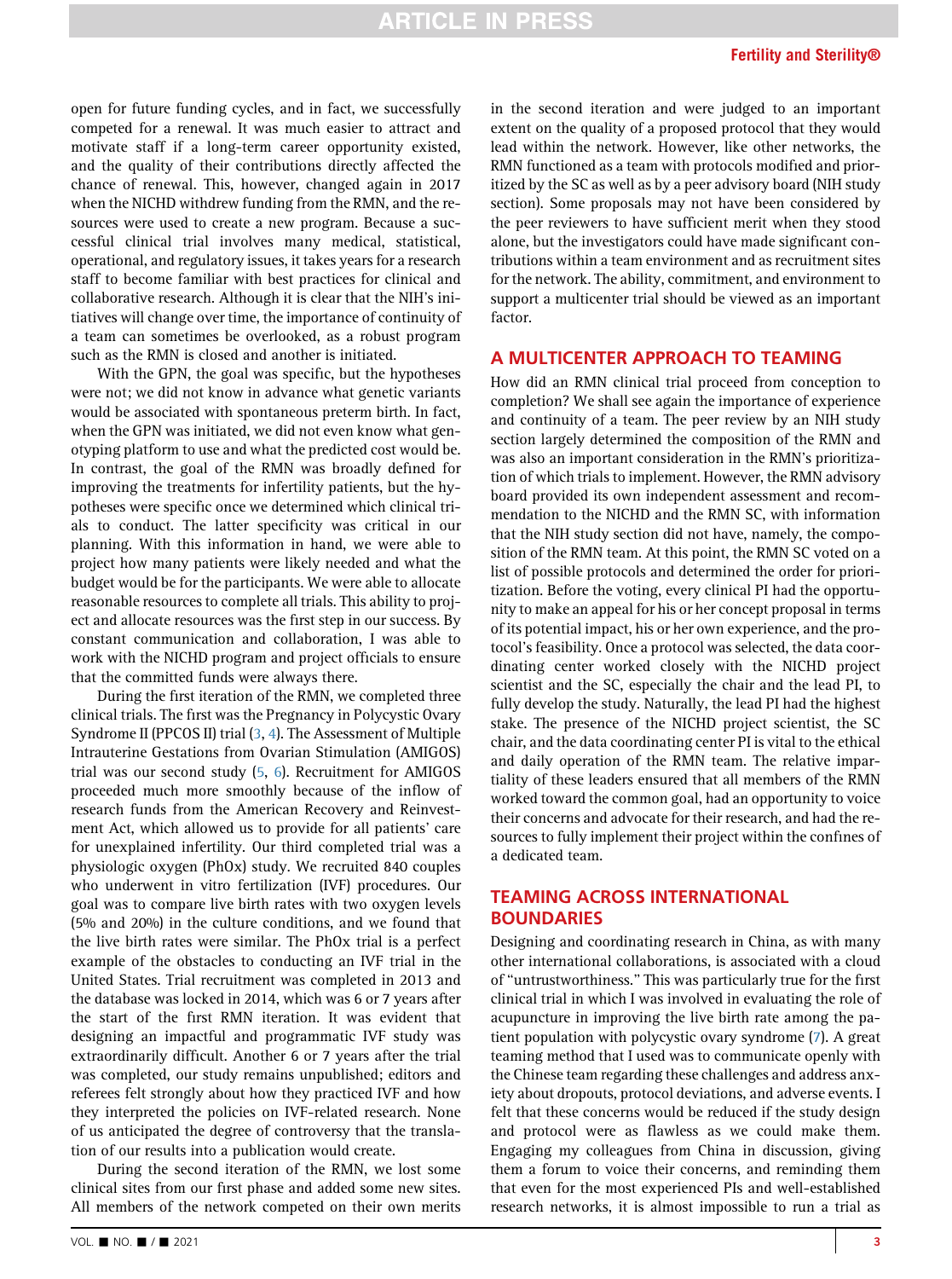open for future funding cycles, and in fact, we successfully competed for a renewal. It was much easier to attract and motivate staff if a long-term career opportunity existed, and the quality of their contributions directly affected the chance of renewal. This, however, changed again in 2017 when the NICHD withdrew funding from the RMN, and the resources were used to create a new program. Because a successful clinical trial involves many medical, statistical, operational, and regulatory issues, it takes years for a research staff to become familiar with best practices for clinical and collaborative research. Although it is clear that the NIH's initiatives will change over time, the importance of continuity of a team can sometimes be overlooked, as a robust program such as the RMN is closed and another is initiated.

With the GPN, the goal was specific, but the hypotheses were not; we did not know in advance what genetic variants would be associated with spontaneous preterm birth. In fact, when the GPN was initiated, we did not even know what genotyping platform to use and what the predicted cost would be. In contrast, the goal of the RMN was broadly defined for improving the treatments for infertility patients, but the hypotheses were specific once we determined which clinical trials to conduct. The latter specificity was critical in our planning. With this information in hand, we were able to project how many patients were likely needed and what the budget would be for the participants. We were able to allocate reasonable resources to complete all trials. This ability to project and allocate resources was the first step in our success. By constant communication and collaboration, I was able to work with the NICHD program and project officials to ensure that the committed funds were always there.

During the first iteration of the RMN, we completed three clinical trials. The first was the Pregnancy in Polycystic Ovary Syndrome II (PPCOS II) trial [\(3](#page-4-2), [4](#page-4-3)). The Assessment of Multiple Intrauterine Gestations from Ovarian Stimulation (AMIGOS) trial was our second study [\(5](#page-4-4), [6\)](#page-4-5). Recruitment for AMIGOS proceeded much more smoothly because of the inflow of research funds from the American Recovery and Reinvestment Act, which allowed us to provide for all patients' care for unexplained infertility. Our third completed trial was a physiologic oxygen (PhOx) study. We recruited 840 couples who underwent in vitro fertilization (IVF) procedures. Our goal was to compare live birth rates with two oxygen levels (5% and 20%) in the culture conditions, and we found that the live birth rates were similar. The PhOx trial is a perfect example of the obstacles to conducting an IVF trial in the United States. Trial recruitment was completed in 2013 and the database was locked in 2014, which was 6 or 7 years after the start of the first RMN iteration. It was evident that designing an impactful and programmatic IVF study was extraordinarily difficult. Another 6 or 7 years after the trial was completed, our study remains unpublished; editors and referees felt strongly about how they practiced IVF and how they interpreted the policies on IVF-related research. None of us anticipated the degree of controversy that the translation of our results into a publication would create.

During the second iteration of the RMN, we lost some clinical sites from our first phase and added some new sites. All members of the network competed on their own merits

VOL.  $\blacksquare$  NO.  $\blacksquare$  /  $\blacksquare$  2021 3

in the second iteration and were judged to an important extent on the quality of a proposed protocol that they would lead within the network. However, like other networks, the RMN functioned as a team with protocols modified and prioritized by the SC as well as by a peer advisory board (NIH study section). Some proposals may not have been considered by the peer reviewers to have sufficient merit when they stood alone, but the investigators could have made significant contributions within a team environment and as recruitment sites for the network. The ability, commitment, and environment to support a multicenter trial should be viewed as an important factor.

#### A MULTICENTER APPROACH TO TEAMING

How did an RMN clinical trial proceed from conception to completion? We shall see again the importance of experience and continuity of a team. The peer review by an NIH study section largely determined the composition of the RMN and was also an important consideration in the RMN's prioritization of which trials to implement. However, the RMN advisory board provided its own independent assessment and recommendation to the NICHD and the RMN SC, with information that the NIH study section did not have, namely, the composition of the RMN team. At this point, the RMN SC voted on a list of possible protocols and determined the order for prioritization. Before the voting, every clinical PI had the opportunity to make an appeal for his or her concept proposal in terms of its potential impact, his or her own experience, and the protocol's feasibility. Once a protocol was selected, the data coordinating center worked closely with the NICHD project scientist and the SC, especially the chair and the lead PI, to fully develop the study. Naturally, the lead PI had the highest stake. The presence of the NICHD project scientist, the SC chair, and the data coordinating center PI is vital to the ethical and daily operation of the RMN team. The relative impartiality of these leaders ensured that all members of the RMN worked toward the common goal, had an opportunity to voice their concerns and advocate for their research, and had the resources to fully implement their project within the confines of a dedicated team.

#### TEAMING ACROSS INTERNATIONAL **BOUNDARIES**

Designing and coordinating research in China, as with many other international collaborations, is associated with a cloud of ''untrustworthiness.'' This was particularly true for the first clinical trial in which I was involved in evaluating the role of acupuncture in improving the live birth rate among the patient population with polycystic ovary syndrome [\(7\)](#page-4-6). A great teaming method that I used was to communicate openly with the Chinese team regarding these challenges and address anxiety about dropouts, protocol deviations, and adverse events. I felt that these concerns would be reduced if the study design and protocol were as flawless as we could make them. Engaging my colleagues from China in discussion, giving them a forum to voice their concerns, and reminding them that even for the most experienced PIs and well-established research networks, it is almost impossible to run a trial as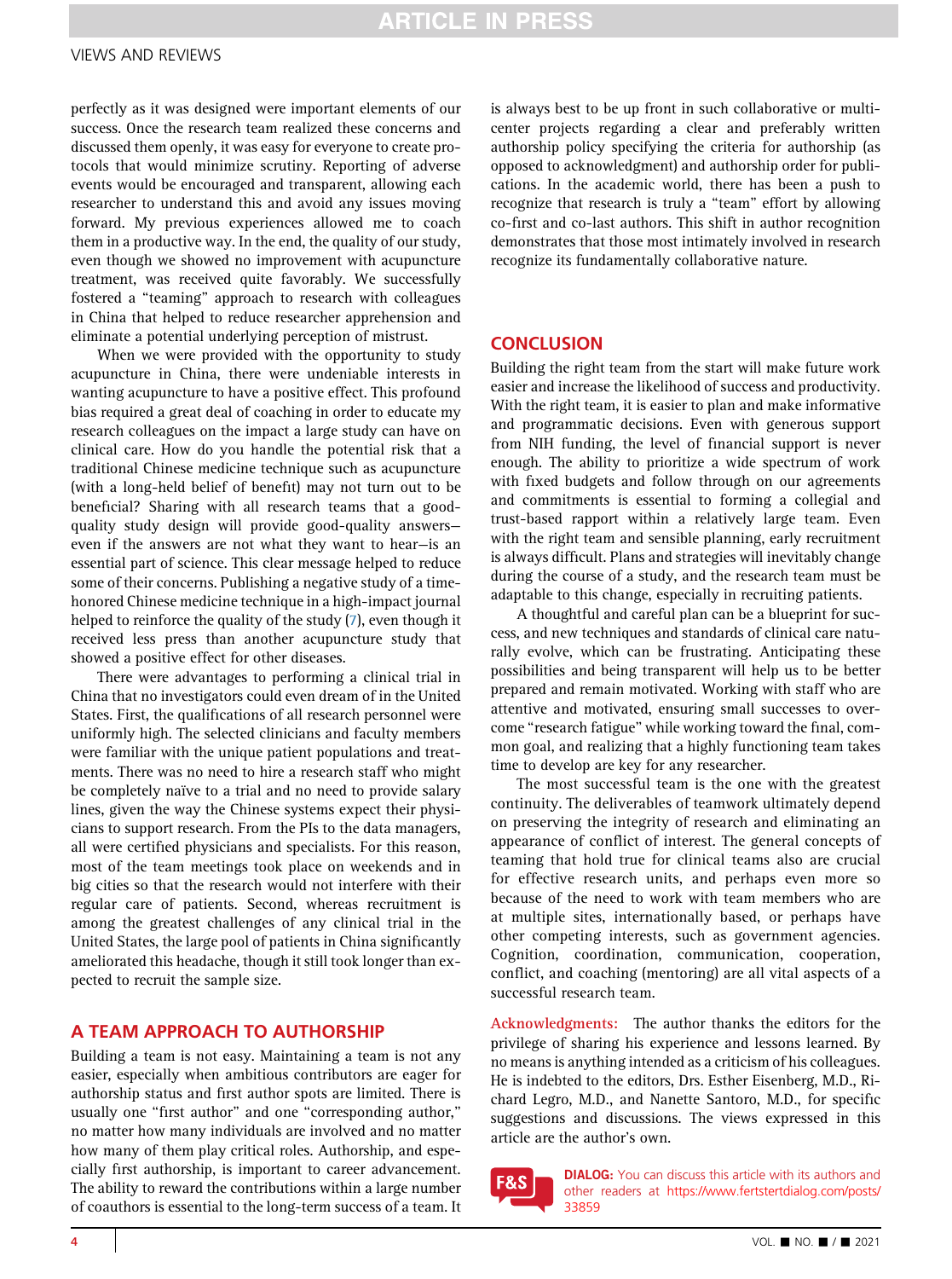## **ARTICLE IN PRESS**

#### VIEWS AND REVIEWS

perfectly as it was designed were important elements of our success. Once the research team realized these concerns and discussed them openly, it was easy for everyone to create protocols that would minimize scrutiny. Reporting of adverse events would be encouraged and transparent, allowing each researcher to understand this and avoid any issues moving forward. My previous experiences allowed me to coach them in a productive way. In the end, the quality of our study, even though we showed no improvement with acupuncture treatment, was received quite favorably. We successfully fostered a ''teaming'' approach to research with colleagues in China that helped to reduce researcher apprehension and eliminate a potential underlying perception of mistrust.

When we were provided with the opportunity to study acupuncture in China, there were undeniable interests in wanting acupuncture to have a positive effect. This profound bias required a great deal of coaching in order to educate my research colleagues on the impact a large study can have on clinical care. How do you handle the potential risk that a traditional Chinese medicine technique such as acupuncture (with a long-held belief of benefit) may not turn out to be beneficial? Sharing with all research teams that a goodquality study design will provide good-quality answers even if the answers are not what they want to hear—is an essential part of science. This clear message helped to reduce some of their concerns. Publishing a negative study of a timehonored Chinese medicine technique in a high-impact journal helped to reinforce the quality of the study [\(7](#page-4-6)), even though it received less press than another acupuncture study that showed a positive effect for other diseases.

There were advantages to performing a clinical trial in China that no investigators could even dream of in the United States. First, the qualifications of all research personnel were uniformly high. The selected clinicians and faculty members were familiar with the unique patient populations and treatments. There was no need to hire a research staff who might be completely naïve to a trial and no need to provide salary lines, given the way the Chinese systems expect their physicians to support research. From the PIs to the data managers, all were certified physicians and specialists. For this reason, most of the team meetings took place on weekends and in big cities so that the research would not interfere with their regular care of patients. Second, whereas recruitment is among the greatest challenges of any clinical trial in the United States, the large pool of patients in China significantly ameliorated this headache, though it still took longer than expected to recruit the sample size.

#### A TEAM APPROACH TO AUTHORSHIP

Building a team is not easy. Maintaining a team is not any easier, especially when ambitious contributors are eager for authorship status and first author spots are limited. There is usually one "first author" and one "corresponding author," no matter how many individuals are involved and no matter how many of them play critical roles. Authorship, and especially first authorship, is important to career advancement. The ability to reward the contributions within a large number of coauthors is essential to the long-term success of a team. It

is always best to be up front in such collaborative or multicenter projects regarding a clear and preferably written authorship policy specifying the criteria for authorship (as opposed to acknowledgment) and authorship order for publications. In the academic world, there has been a push to recognize that research is truly a "team" effort by allowing co-first and co-last authors. This shift in author recognition demonstrates that those most intimately involved in research recognize its fundamentally collaborative nature.

#### **CONCLUSION**

Building the right team from the start will make future work easier and increase the likelihood of success and productivity. With the right team, it is easier to plan and make informative and programmatic decisions. Even with generous support from NIH funding, the level of financial support is never enough. The ability to prioritize a wide spectrum of work with fixed budgets and follow through on our agreements and commitments is essential to forming a collegial and trust-based rapport within a relatively large team. Even with the right team and sensible planning, early recruitment is always difficult. Plans and strategies will inevitably change during the course of a study, and the research team must be adaptable to this change, especially in recruiting patients.

A thoughtful and careful plan can be a blueprint for success, and new techniques and standards of clinical care naturally evolve, which can be frustrating. Anticipating these possibilities and being transparent will help us to be better prepared and remain motivated. Working with staff who are attentive and motivated, ensuring small successes to overcome ''research fatigue'' while working toward the final, common goal, and realizing that a highly functioning team takes time to develop are key for any researcher.

The most successful team is the one with the greatest continuity. The deliverables of teamwork ultimately depend on preserving the integrity of research and eliminating an appearance of conflict of interest. The general concepts of teaming that hold true for clinical teams also are crucial for effective research units, and perhaps even more so because of the need to work with team members who are at multiple sites, internationally based, or perhaps have other competing interests, such as government agencies. Cognition, coordination, communication, cooperation, conflict, and coaching (mentoring) are all vital aspects of a successful research team.

Acknowledgments: The author thanks the editors for the privilege of sharing his experience and lessons learned. By no means is anything intended as a criticism of his colleagues. He is indebted to the editors, Drs. Esther Eisenberg, M.D., Richard Legro, M.D., and Nanette Santoro, M.D., for specific suggestions and discussions. The views expressed in this article are the author's own.



DIALOG: You can discuss this article with its authors and other readers at [https://www.fertstertdialog.com/posts/](https://www.fertstertdialog.com/posts/33859) [33859](https://www.fertstertdialog.com/posts/33859)